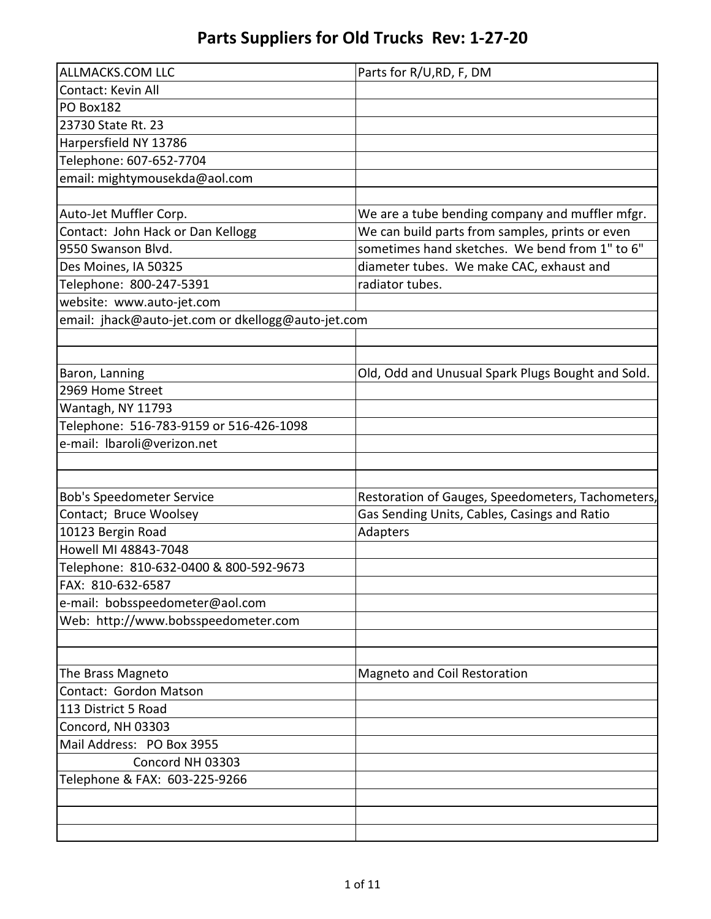| <b>ALLMACKS.COM LLC</b>                            | Parts for R/U, RD, F, DM                          |
|----------------------------------------------------|---------------------------------------------------|
| Contact: Kevin All                                 |                                                   |
| PO Box182                                          |                                                   |
| 23730 State Rt. 23                                 |                                                   |
| Harpersfield NY 13786                              |                                                   |
| Telephone: 607-652-7704                            |                                                   |
| email: mightymousekda@aol.com                      |                                                   |
|                                                    |                                                   |
| Auto-Jet Muffler Corp.                             | We are a tube bending company and muffler mfgr.   |
| Contact: John Hack or Dan Kellogg                  | We can build parts from samples, prints or even   |
| 9550 Swanson Blvd.                                 | sometimes hand sketches. We bend from 1" to 6"    |
| Des Moines, IA 50325                               | diameter tubes. We make CAC, exhaust and          |
| Telephone: 800-247-5391                            | radiator tubes.                                   |
| website: www.auto-jet.com                          |                                                   |
| email: jhack@auto-jet.com or dkellogg@auto-jet.com |                                                   |
|                                                    |                                                   |
|                                                    |                                                   |
| Baron, Lanning                                     | Old, Odd and Unusual Spark Plugs Bought and Sold. |
| 2969 Home Street                                   |                                                   |
| Wantagh, NY 11793                                  |                                                   |
| Telephone: 516-783-9159 or 516-426-1098            |                                                   |
| e-mail: Ibaroli@verizon.net                        |                                                   |
|                                                    |                                                   |
|                                                    |                                                   |
| <b>Bob's Speedometer Service</b>                   | Restoration of Gauges, Speedometers, Tachometers, |
| Contact; Bruce Woolsey                             | Gas Sending Units, Cables, Casings and Ratio      |
| 10123 Bergin Road                                  | Adapters                                          |
| Howell MI 48843-7048                               |                                                   |
| Telephone: 810-632-0400 & 800-592-9673             |                                                   |
| FAX: 810-632-6587                                  |                                                   |
| e-mail: bobsspeedometer@aol.com                    |                                                   |
| Web: http://www.bobsspeedometer.com                |                                                   |
|                                                    |                                                   |
|                                                    |                                                   |
| The Brass Magneto                                  | Magneto and Coil Restoration                      |
| Contact: Gordon Matson                             |                                                   |
| 113 District 5 Road                                |                                                   |
| Concord, NH 03303                                  |                                                   |
| Mail Address: PO Box 3955                          |                                                   |
| Concord NH 03303                                   |                                                   |
| Telephone & FAX: 603-225-9266                      |                                                   |
|                                                    |                                                   |
|                                                    |                                                   |
|                                                    |                                                   |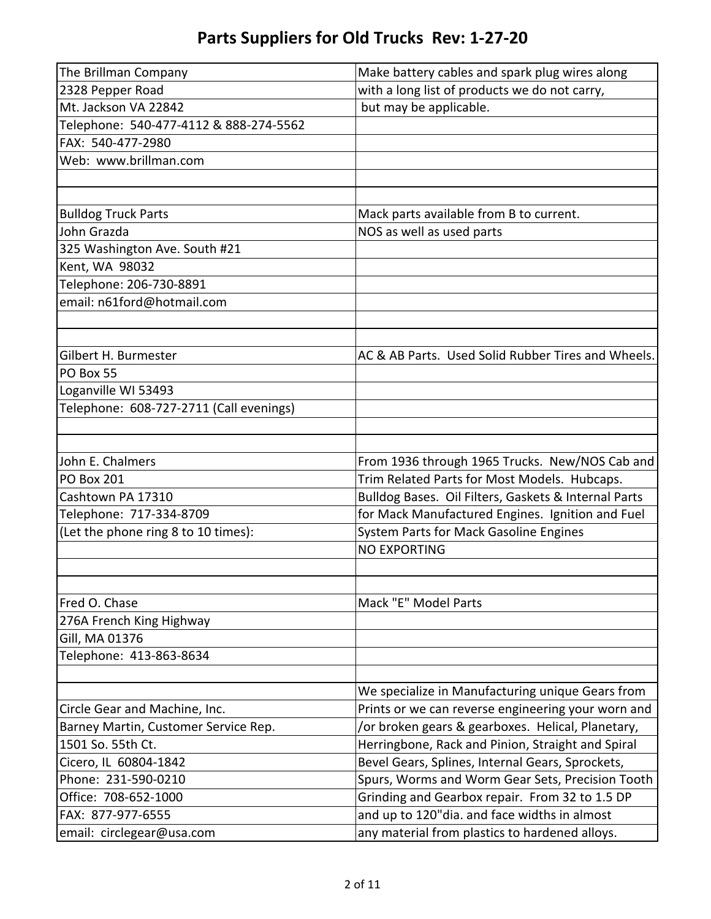| The Brillman Company                    | Make battery cables and spark plug wires along       |
|-----------------------------------------|------------------------------------------------------|
| 2328 Pepper Road                        | with a long list of products we do not carry,        |
| Mt. Jackson VA 22842                    | but may be applicable.                               |
| Telephone: 540-477-4112 & 888-274-5562  |                                                      |
| FAX: 540-477-2980                       |                                                      |
| Web: www.brillman.com                   |                                                      |
|                                         |                                                      |
|                                         |                                                      |
| <b>Bulldog Truck Parts</b>              | Mack parts available from B to current.              |
| John Grazda                             | NOS as well as used parts                            |
| 325 Washington Ave. South #21           |                                                      |
| Kent, WA 98032                          |                                                      |
| Telephone: 206-730-8891                 |                                                      |
| email: n61ford@hotmail.com              |                                                      |
|                                         |                                                      |
|                                         |                                                      |
| Gilbert H. Burmester                    | AC & AB Parts. Used Solid Rubber Tires and Wheels.   |
| PO Box 55                               |                                                      |
| Loganville WI 53493                     |                                                      |
| Telephone: 608-727-2711 (Call evenings) |                                                      |
|                                         |                                                      |
|                                         |                                                      |
| John E. Chalmers                        | From 1936 through 1965 Trucks. New/NOS Cab and       |
| <b>PO Box 201</b>                       | Trim Related Parts for Most Models. Hubcaps.         |
| Cashtown PA 17310                       | Bulldog Bases. Oil Filters, Gaskets & Internal Parts |
| Telephone: 717-334-8709                 | for Mack Manufactured Engines. Ignition and Fuel     |
| (Let the phone ring 8 to 10 times):     | System Parts for Mack Gasoline Engines               |
|                                         | <b>NO EXPORTING</b>                                  |
|                                         |                                                      |
|                                         |                                                      |
| Fred O. Chase                           | Mack "E" Model Parts                                 |
| 276A French King Highway                |                                                      |
| Gill, MA 01376                          |                                                      |
| Telephone: 413-863-8634                 |                                                      |
|                                         |                                                      |
|                                         | We specialize in Manufacturing unique Gears from     |
| Circle Gear and Machine, Inc.           | Prints or we can reverse engineering your worn and   |
| Barney Martin, Customer Service Rep.    | /or broken gears & gearboxes. Helical, Planetary,    |
| 1501 So. 55th Ct.                       | Herringbone, Rack and Pinion, Straight and Spiral    |
| Cicero, IL 60804-1842                   | Bevel Gears, Splines, Internal Gears, Sprockets,     |
| Phone: 231-590-0210                     | Spurs, Worms and Worm Gear Sets, Precision Tooth     |
| Office: 708-652-1000                    | Grinding and Gearbox repair. From 32 to 1.5 DP       |
| FAX: 877-977-6555                       | and up to 120"dia. and face widths in almost         |
| email: circlegear@usa.com               | any material from plastics to hardened alloys.       |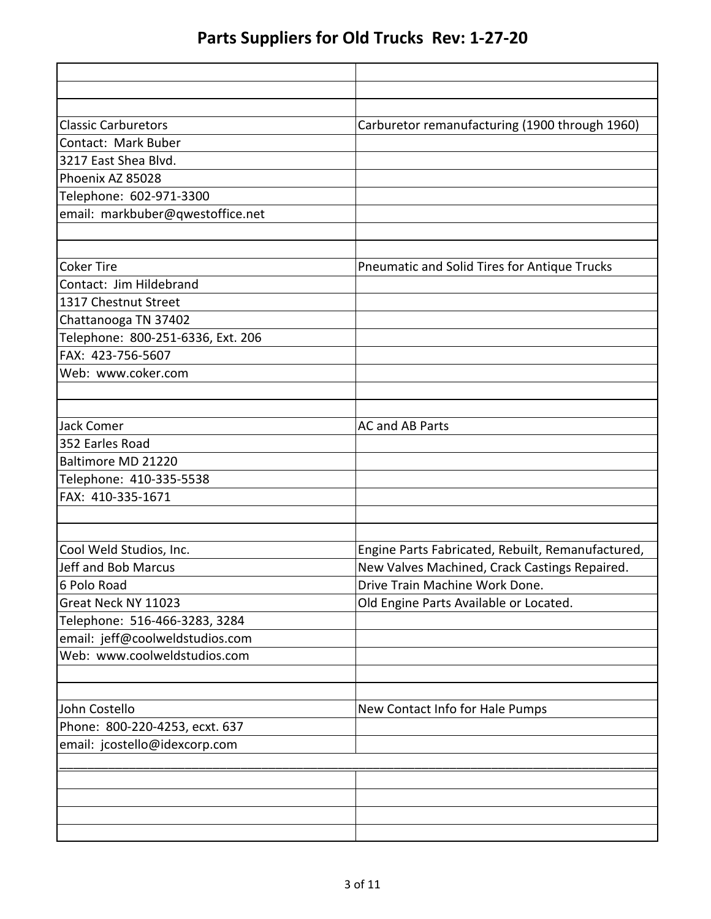| <b>Classic Carburetors</b>        | Carburetor remanufacturing (1900 through 1960)    |
|-----------------------------------|---------------------------------------------------|
| Contact: Mark Buber               |                                                   |
| 3217 East Shea Blvd.              |                                                   |
| Phoenix AZ 85028                  |                                                   |
| Telephone: 602-971-3300           |                                                   |
| email: markbuber@qwestoffice.net  |                                                   |
| <b>Coker Tire</b>                 | Pneumatic and Solid Tires for Antique Trucks      |
| Contact: Jim Hildebrand           |                                                   |
| 1317 Chestnut Street              |                                                   |
| Chattanooga TN 37402              |                                                   |
| Telephone: 800-251-6336, Ext. 206 |                                                   |
| FAX: 423-756-5607                 |                                                   |
| Web: www.coker.com                |                                                   |
|                                   |                                                   |
| Jack Comer                        | <b>AC and AB Parts</b>                            |
| 352 Earles Road                   |                                                   |
| Baltimore MD 21220                |                                                   |
| Telephone: 410-335-5538           |                                                   |
| FAX: 410-335-1671                 |                                                   |
|                                   |                                                   |
| Cool Weld Studios, Inc.           | Engine Parts Fabricated, Rebuilt, Remanufactured, |
| Jeff and Bob Marcus               | New Valves Machined, Crack Castings Repaired.     |
| 6 Polo Road                       | Drive Train Machine Work Done.                    |
| Great Neck NY 11023               | Old Engine Parts Available or Located.            |
| Telephone: 516-466-3283, 3284     |                                                   |
| email: jeff@coolweldstudios.com   |                                                   |
| Web: www.coolweldstudios.com      |                                                   |
| John Costello                     | New Contact Info for Hale Pumps                   |
| Phone: 800-220-4253, ecxt. 637    |                                                   |
| email: jcostello@idexcorp.com     |                                                   |
|                                   |                                                   |
|                                   |                                                   |
|                                   |                                                   |
|                                   |                                                   |
|                                   |                                                   |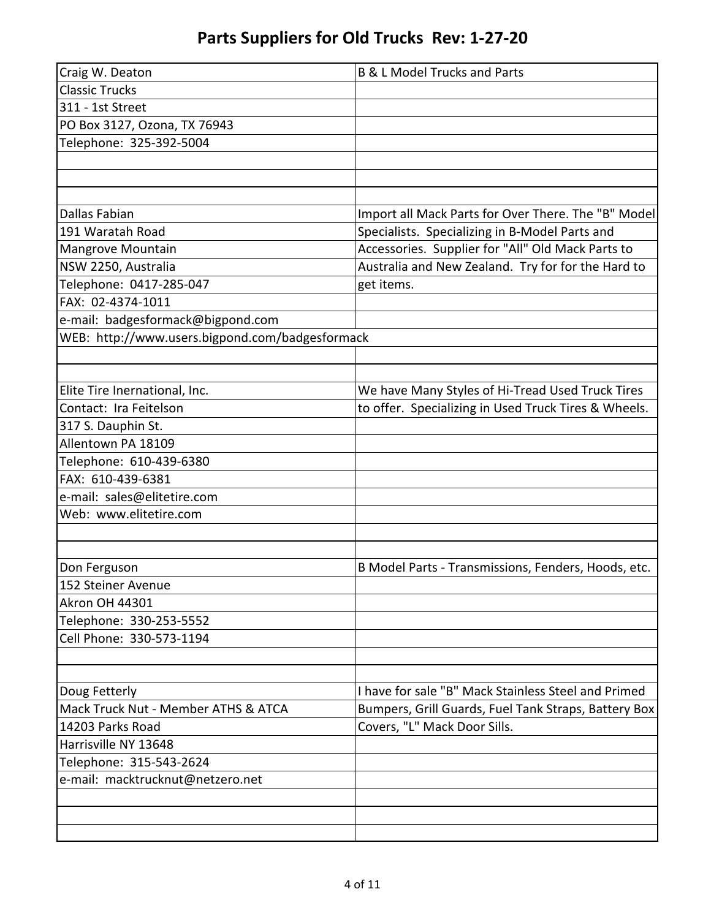| Craig W. Deaton                                 | <b>B &amp; L Model Trucks and Parts</b>              |
|-------------------------------------------------|------------------------------------------------------|
| <b>Classic Trucks</b>                           |                                                      |
| 311 - 1st Street                                |                                                      |
| PO Box 3127, Ozona, TX 76943                    |                                                      |
| Telephone: 325-392-5004                         |                                                      |
|                                                 |                                                      |
|                                                 |                                                      |
|                                                 |                                                      |
| <b>Dallas Fabian</b>                            | Import all Mack Parts for Over There. The "B" Model  |
| 191 Waratah Road                                | Specialists. Specializing in B-Model Parts and       |
| Mangrove Mountain                               | Accessories. Supplier for "All" Old Mack Parts to    |
| NSW 2250, Australia                             | Australia and New Zealand. Try for for the Hard to   |
| Telephone: 0417-285-047                         | get items.                                           |
| FAX: 02-4374-1011                               |                                                      |
| e-mail: badgesformack@bigpond.com               |                                                      |
| WEB: http://www.users.bigpond.com/badgesformack |                                                      |
|                                                 |                                                      |
|                                                 |                                                      |
| Elite Tire Inernational, Inc.                   | We have Many Styles of Hi-Tread Used Truck Tires     |
| Contact: Ira Feitelson                          | to offer. Specializing in Used Truck Tires & Wheels. |
| 317 S. Dauphin St.                              |                                                      |
| Allentown PA 18109                              |                                                      |
| Telephone: 610-439-6380                         |                                                      |
| FAX: 610-439-6381                               |                                                      |
| e-mail: sales@elitetire.com                     |                                                      |
| Web: www.elitetire.com                          |                                                      |
|                                                 |                                                      |
|                                                 |                                                      |
| Don Ferguson                                    | B Model Parts - Transmissions, Fenders, Hoods, etc.  |
| 152 Steiner Avenue                              |                                                      |
| <b>Akron OH 44301</b>                           |                                                      |
| Telephone: 330-253-5552                         |                                                      |
| Cell Phone: 330-573-1194                        |                                                      |
|                                                 |                                                      |
|                                                 |                                                      |
| Doug Fetterly                                   | I have for sale "B" Mack Stainless Steel and Primed  |
| Mack Truck Nut - Member ATHS & ATCA             | Bumpers, Grill Guards, Fuel Tank Straps, Battery Box |
| 14203 Parks Road                                | Covers, "L" Mack Door Sills.                         |
| Harrisville NY 13648                            |                                                      |
| Telephone: 315-543-2624                         |                                                      |
| e-mail: macktrucknut@netzero.net                |                                                      |
|                                                 |                                                      |
|                                                 |                                                      |
|                                                 |                                                      |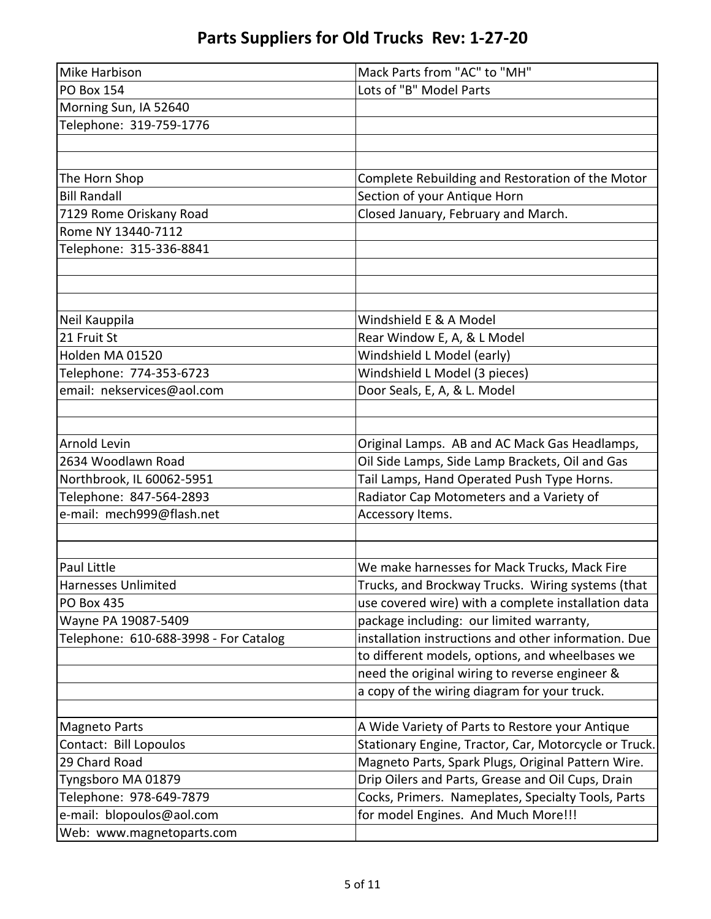| Mike Harbison                         | Mack Parts from "AC" to "MH"                          |
|---------------------------------------|-------------------------------------------------------|
| <b>PO Box 154</b>                     | Lots of "B" Model Parts                               |
| Morning Sun, IA 52640                 |                                                       |
| Telephone: 319-759-1776               |                                                       |
|                                       |                                                       |
|                                       |                                                       |
| The Horn Shop                         | Complete Rebuilding and Restoration of the Motor      |
| <b>Bill Randall</b>                   | Section of your Antique Horn                          |
| 7129 Rome Oriskany Road               | Closed January, February and March.                   |
| Rome NY 13440-7112                    |                                                       |
| Telephone: 315-336-8841               |                                                       |
|                                       |                                                       |
|                                       |                                                       |
|                                       |                                                       |
| Neil Kauppila                         | Windshield E & A Model                                |
| 21 Fruit St                           | Rear Window E, A, & L Model                           |
| Holden MA 01520                       | Windshield L Model (early)                            |
| Telephone: 774-353-6723               | Windshield L Model (3 pieces)                         |
| email: nekservices@aol.com            | Door Seals, E, A, & L. Model                          |
|                                       |                                                       |
|                                       |                                                       |
| <b>Arnold Levin</b>                   | Original Lamps. AB and AC Mack Gas Headlamps,         |
| 2634 Woodlawn Road                    | Oil Side Lamps, Side Lamp Brackets, Oil and Gas       |
| Northbrook, IL 60062-5951             | Tail Lamps, Hand Operated Push Type Horns.            |
| Telephone: 847-564-2893               | Radiator Cap Motometers and a Variety of              |
| e-mail: mech999@flash.net             | Accessory Items.                                      |
|                                       |                                                       |
|                                       |                                                       |
| Paul Little                           | We make harnesses for Mack Trucks, Mack Fire          |
| Harnesses Unlimited                   | Trucks, and Brockway Trucks. Wiring systems (that     |
| <b>PO Box 435</b>                     | use covered wire) with a complete installation data   |
| Wayne PA 19087-5409                   | package including: our limited warranty,              |
| Telephone: 610-688-3998 - For Catalog | installation instructions and other information. Due  |
|                                       | to different models, options, and wheelbases we       |
|                                       | need the original wiring to reverse engineer &        |
|                                       | a copy of the wiring diagram for your truck.          |
|                                       |                                                       |
| <b>Magneto Parts</b>                  | A Wide Variety of Parts to Restore your Antique       |
| Contact: Bill Lopoulos                | Stationary Engine, Tractor, Car, Motorcycle or Truck. |
| 29 Chard Road                         | Magneto Parts, Spark Plugs, Original Pattern Wire.    |
| Tyngsboro MA 01879                    | Drip Oilers and Parts, Grease and Oil Cups, Drain     |
| Telephone: 978-649-7879               | Cocks, Primers. Nameplates, Specialty Tools, Parts    |
| e-mail: blopoulos@aol.com             | for model Engines. And Much More!!!                   |
| Web: www.magnetoparts.com             |                                                       |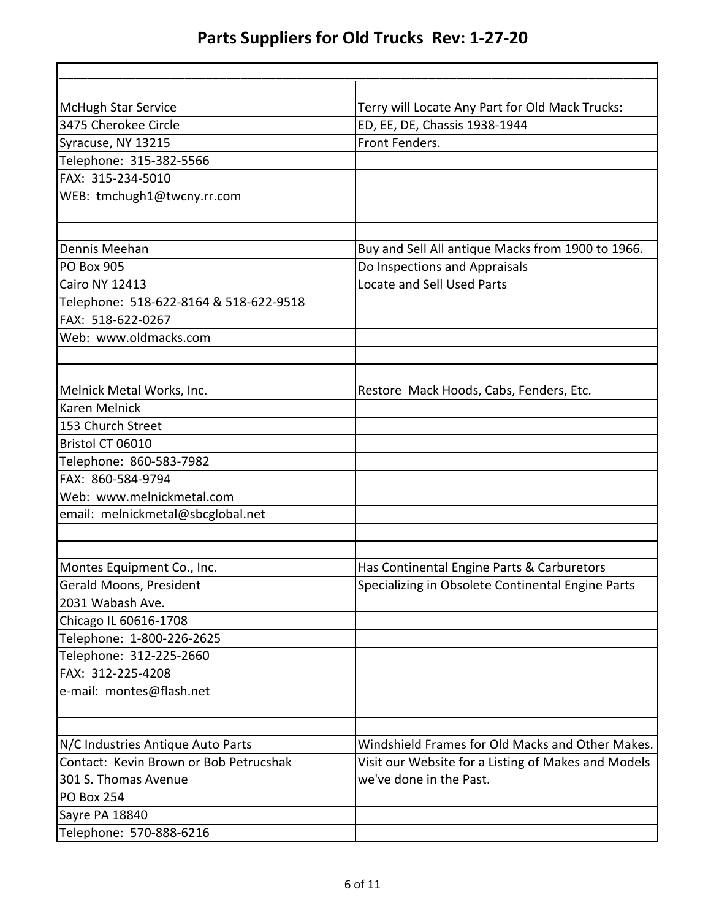| <b>McHugh Star Service</b>             | Terry will Locate Any Part for Old Mack Trucks:     |
|----------------------------------------|-----------------------------------------------------|
| 3475 Cherokee Circle                   | ED, EE, DE, Chassis 1938-1944                       |
| Syracuse, NY 13215                     | Front Fenders.                                      |
| Telephone: 315-382-5566                |                                                     |
| FAX: 315-234-5010                      |                                                     |
| WEB: tmchugh1@twcny.rr.com             |                                                     |
|                                        |                                                     |
| Dennis Meehan                          | Buy and Sell All antique Macks from 1900 to 1966.   |
| <b>PO Box 905</b>                      | Do Inspections and Appraisals                       |
| <b>Cairo NY 12413</b>                  | Locate and Sell Used Parts                          |
| Telephone: 518-622-8164 & 518-622-9518 |                                                     |
| FAX: 518-622-0267                      |                                                     |
| Web: www.oldmacks.com                  |                                                     |
|                                        |                                                     |
| Melnick Metal Works, Inc.              | Restore Mack Hoods, Cabs, Fenders, Etc.             |
| <b>Karen Melnick</b>                   |                                                     |
| 153 Church Street                      |                                                     |
| Bristol CT 06010                       |                                                     |
| Telephone: 860-583-7982                |                                                     |
| FAX: 860-584-9794                      |                                                     |
| Web: www.melnickmetal.com              |                                                     |
| email: melnickmetal@sbcglobal.net      |                                                     |
|                                        |                                                     |
| Montes Equipment Co., Inc.             | Has Continental Engine Parts & Carburetors          |
| Gerald Moons, President                | Specializing in Obsolete Continental Engine Parts   |
| 2031 Wabash Ave.                       |                                                     |
| Chicago IL 60616-1708                  |                                                     |
| Telephone: 1-800-226-2625              |                                                     |
| Telephone: 312-225-2660                |                                                     |
| FAX: 312-225-4208                      |                                                     |
| e-mail: montes@flash.net               |                                                     |
|                                        |                                                     |
| N/C Industries Antique Auto Parts      | Windshield Frames for Old Macks and Other Makes.    |
| Contact: Kevin Brown or Bob Petrucshak | Visit our Website for a Listing of Makes and Models |
| 301 S. Thomas Avenue                   | we've done in the Past.                             |
| <b>PO Box 254</b>                      |                                                     |
| Sayre PA 18840                         |                                                     |
| Telephone: 570-888-6216                |                                                     |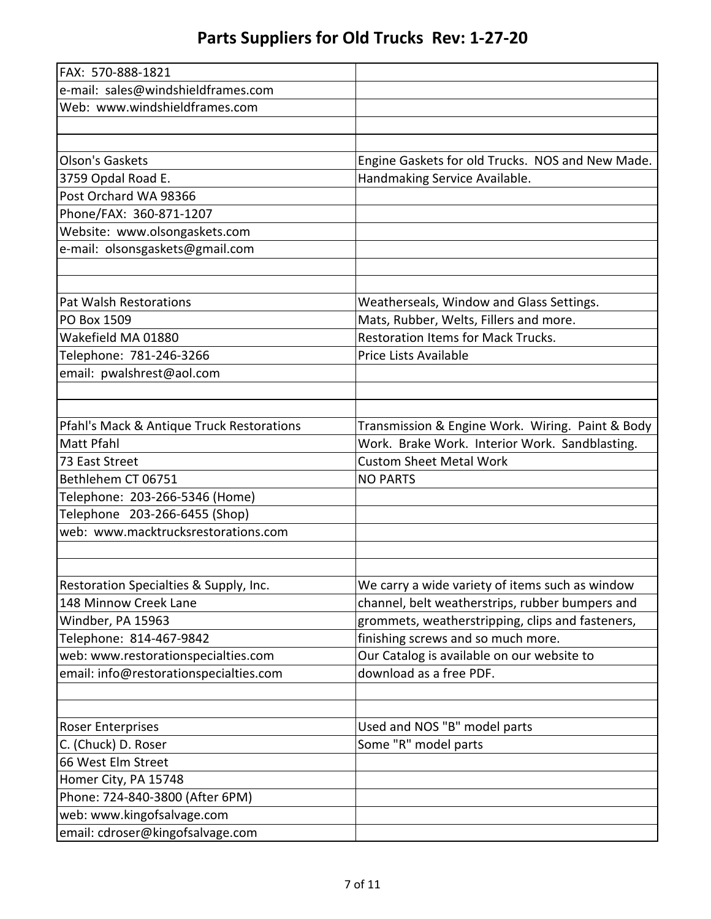| FAX: 570-888-1821                         |                                                  |
|-------------------------------------------|--------------------------------------------------|
| e-mail: sales@windshieldframes.com        |                                                  |
| Web: www.windshieldframes.com             |                                                  |
|                                           |                                                  |
|                                           |                                                  |
| Olson's Gaskets                           | Engine Gaskets for old Trucks. NOS and New Made. |
| 3759 Opdal Road E.                        | Handmaking Service Available.                    |
| Post Orchard WA 98366                     |                                                  |
| Phone/FAX: 360-871-1207                   |                                                  |
| Website: www.olsongaskets.com             |                                                  |
| e-mail: olsonsgaskets@gmail.com           |                                                  |
|                                           |                                                  |
|                                           |                                                  |
| Pat Walsh Restorations                    | Weatherseals, Window and Glass Settings.         |
| PO Box 1509                               | Mats, Rubber, Welts, Fillers and more.           |
| Wakefield MA 01880                        | <b>Restoration Items for Mack Trucks.</b>        |
| Telephone: 781-246-3266                   | Price Lists Available                            |
| email: pwalshrest@aol.com                 |                                                  |
|                                           |                                                  |
|                                           |                                                  |
| Pfahl's Mack & Antique Truck Restorations | Transmission & Engine Work. Wiring. Paint & Body |
| <b>Matt Pfahl</b>                         | Work. Brake Work. Interior Work. Sandblasting.   |
| 73 East Street                            | <b>Custom Sheet Metal Work</b>                   |
| Bethlehem CT 06751                        | <b>NO PARTS</b>                                  |
| Telephone: 203-266-5346 (Home)            |                                                  |
| Telephone 203-266-6455 (Shop)             |                                                  |
| web: www.macktrucksrestorations.com       |                                                  |
|                                           |                                                  |
|                                           |                                                  |
| Restoration Specialties & Supply, Inc.    | We carry a wide variety of items such as window  |
| 148 Minnow Creek Lane                     | channel, belt weatherstrips, rubber bumpers and  |
| Windber, PA 15963                         | grommets, weatherstripping, clips and fasteners, |
| Telephone: 814-467-9842                   | finishing screws and so much more.               |
| web: www.restorationspecialties.com       | Our Catalog is available on our website to       |
| email: info@restorationspecialties.com    | download as a free PDF.                          |
|                                           |                                                  |
|                                           |                                                  |
| <b>Roser Enterprises</b>                  | Used and NOS "B" model parts                     |
| C. (Chuck) D. Roser                       | Some "R" model parts                             |
| 66 West Elm Street                        |                                                  |
| Homer City, PA 15748                      |                                                  |
| Phone: 724-840-3800 (After 6PM)           |                                                  |
| web: www.kingofsalvage.com                |                                                  |
| email: cdroser@kingofsalvage.com          |                                                  |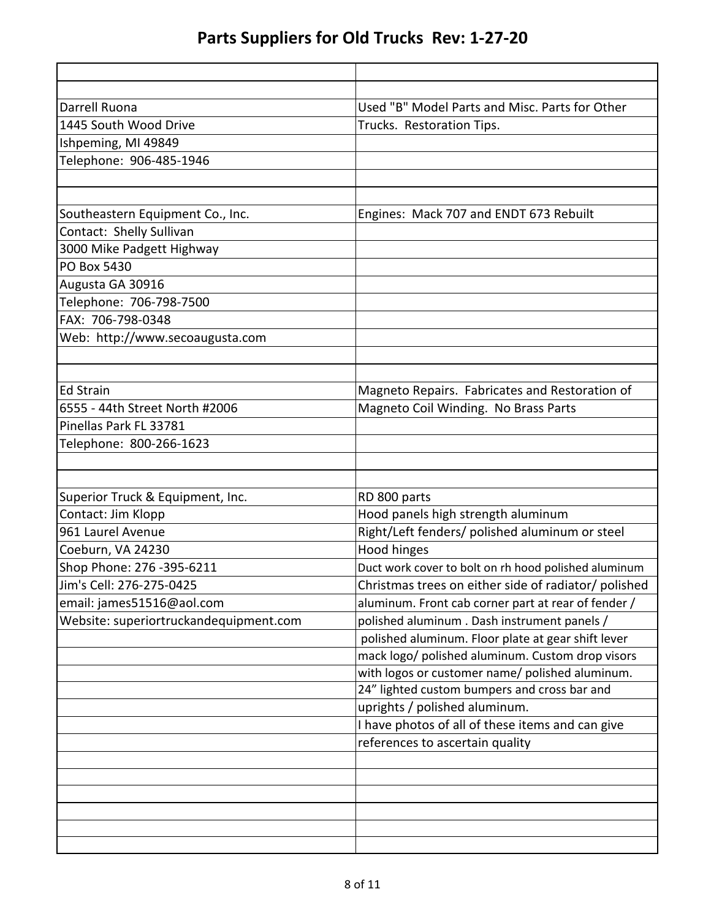| Darrell Ruona                          | Used "B" Model Parts and Misc. Parts for Other       |
|----------------------------------------|------------------------------------------------------|
| 1445 South Wood Drive                  | Trucks. Restoration Tips.                            |
| Ishpeming, MI 49849                    |                                                      |
| Telephone: 906-485-1946                |                                                      |
|                                        |                                                      |
| Southeastern Equipment Co., Inc.       | Engines: Mack 707 and ENDT 673 Rebuilt               |
| Contact: Shelly Sullivan               |                                                      |
| 3000 Mike Padgett Highway              |                                                      |
| PO Box 5430                            |                                                      |
| Augusta GA 30916                       |                                                      |
| Telephone: 706-798-7500                |                                                      |
| FAX: 706-798-0348                      |                                                      |
| Web: http://www.secoaugusta.com        |                                                      |
|                                        |                                                      |
|                                        |                                                      |
| <b>Ed Strain</b>                       | Magneto Repairs. Fabricates and Restoration of       |
| 6555 - 44th Street North #2006         | Magneto Coil Winding. No Brass Parts                 |
| Pinellas Park FL 33781                 |                                                      |
| Telephone: 800-266-1623                |                                                      |
|                                        |                                                      |
|                                        |                                                      |
| Superior Truck & Equipment, Inc.       | RD 800 parts                                         |
| Contact: Jim Klopp                     | Hood panels high strength aluminum                   |
| 961 Laurel Avenue                      | Right/Left fenders/ polished aluminum or steel       |
| Coeburn, VA 24230                      | Hood hinges                                          |
| Shop Phone: 276 -395-6211              | Duct work cover to bolt on rh hood polished aluminum |
| Jim's Cell: 276-275-0425               | Christmas trees on either side of radiator/ polished |
| email: james51516@aol.com              | aluminum. Front cab corner part at rear of fender /  |
| Website: superiortruckandequipment.com | polished aluminum. Dash instrument panels /          |
|                                        | polished aluminum. Floor plate at gear shift lever   |
|                                        | mack logo/ polished aluminum. Custom drop visors     |
|                                        | with logos or customer name/ polished aluminum.      |
|                                        | 24" lighted custom bumpers and cross bar and         |
|                                        | uprights / polished aluminum.                        |
|                                        | I have photos of all of these items and can give     |
|                                        | references to ascertain quality                      |
|                                        |                                                      |
|                                        |                                                      |
|                                        |                                                      |
|                                        |                                                      |
|                                        |                                                      |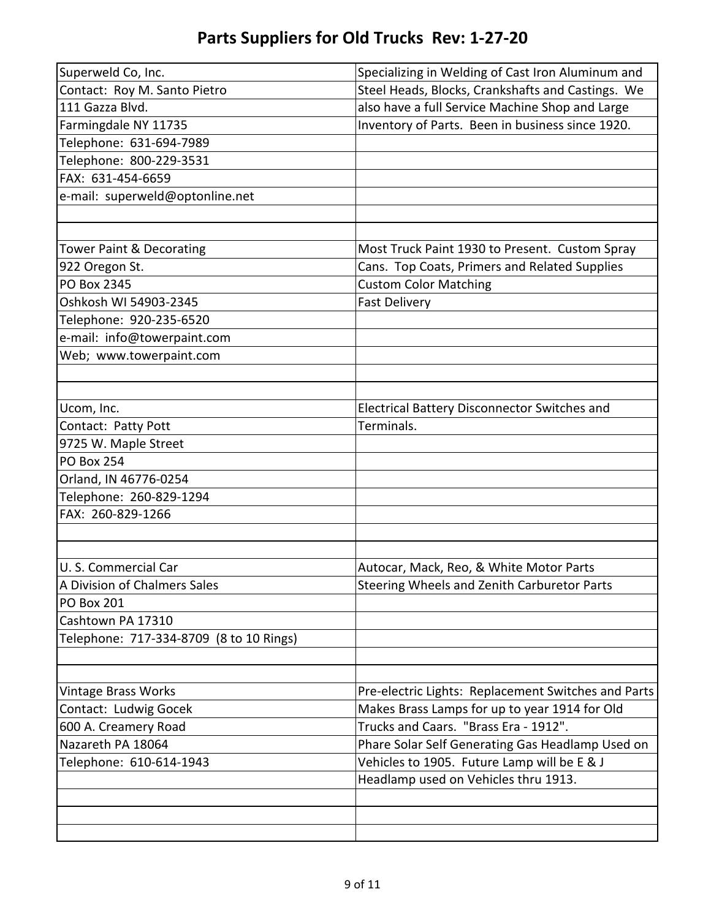| Superweld Co, Inc.                      | Specializing in Welding of Cast Iron Aluminum and   |
|-----------------------------------------|-----------------------------------------------------|
| Contact: Roy M. Santo Pietro            | Steel Heads, Blocks, Crankshafts and Castings. We   |
| 111 Gazza Blvd.                         | also have a full Service Machine Shop and Large     |
| Farmingdale NY 11735                    | Inventory of Parts. Been in business since 1920.    |
| Telephone: 631-694-7989                 |                                                     |
| Telephone: 800-229-3531                 |                                                     |
| FAX: 631-454-6659                       |                                                     |
| e-mail: superweld@optonline.net         |                                                     |
|                                         |                                                     |
|                                         |                                                     |
| Tower Paint & Decorating                | Most Truck Paint 1930 to Present. Custom Spray      |
| 922 Oregon St.                          | Cans. Top Coats, Primers and Related Supplies       |
| <b>PO Box 2345</b>                      | <b>Custom Color Matching</b>                        |
| Oshkosh WI 54903-2345                   | <b>Fast Delivery</b>                                |
| Telephone: 920-235-6520                 |                                                     |
| e-mail: info@towerpaint.com             |                                                     |
| Web; www.towerpaint.com                 |                                                     |
|                                         |                                                     |
|                                         |                                                     |
| Ucom, Inc.                              | Electrical Battery Disconnector Switches and        |
| Contact: Patty Pott                     | Terminals.                                          |
| 9725 W. Maple Street                    |                                                     |
| <b>PO Box 254</b>                       |                                                     |
| Orland, IN 46776-0254                   |                                                     |
| Telephone: 260-829-1294                 |                                                     |
| FAX: 260-829-1266                       |                                                     |
|                                         |                                                     |
|                                         |                                                     |
| U.S. Commercial Car                     | Autocar, Mack, Reo, & White Motor Parts             |
| A Division of Chalmers Sales            | Steering Wheels and Zenith Carburetor Parts         |
| <b>PO Box 201</b>                       |                                                     |
| Cashtown PA 17310                       |                                                     |
| Telephone: 717-334-8709 (8 to 10 Rings) |                                                     |
|                                         |                                                     |
|                                         |                                                     |
| <b>Vintage Brass Works</b>              | Pre-electric Lights: Replacement Switches and Parts |
| Contact: Ludwig Gocek                   | Makes Brass Lamps for up to year 1914 for Old       |
| 600 A. Creamery Road                    | Trucks and Caars. "Brass Era - 1912".               |
| Nazareth PA 18064                       | Phare Solar Self Generating Gas Headlamp Used on    |
| Telephone: 610-614-1943                 | Vehicles to 1905. Future Lamp will be E & J         |
|                                         | Headlamp used on Vehicles thru 1913.                |
|                                         |                                                     |
|                                         |                                                     |
|                                         |                                                     |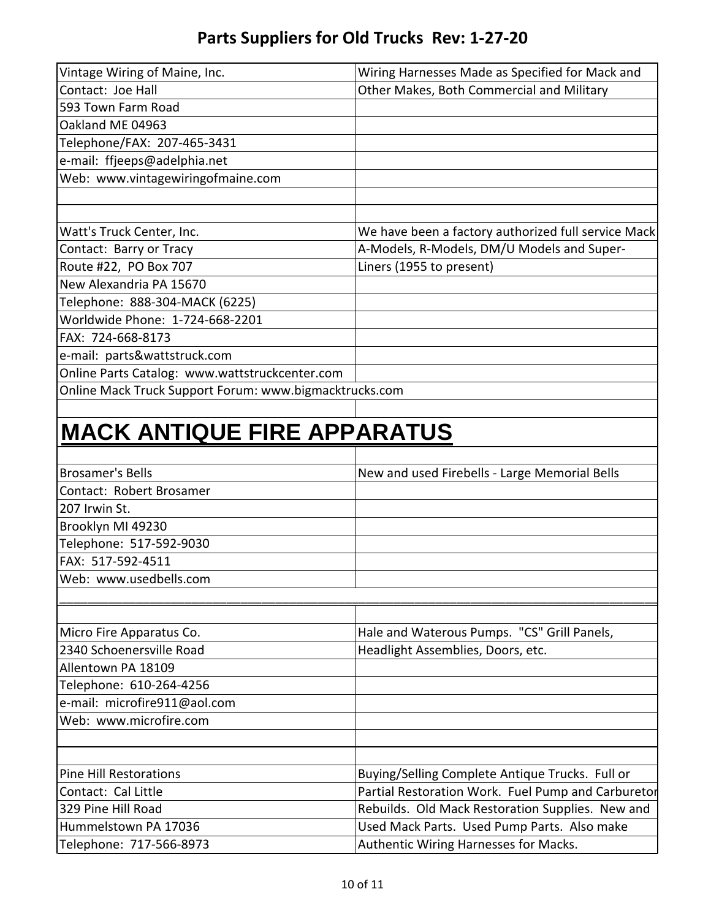| Vintage Wiring of Maine, Inc.<br>Contact: Joe Hall     | Wiring Harnesses Made as Specified for Mack and     |
|--------------------------------------------------------|-----------------------------------------------------|
| 593 Town Farm Road                                     | Other Makes, Both Commercial and Military           |
| Oakland ME 04963                                       |                                                     |
| Telephone/FAX: 207-465-3431                            |                                                     |
| e-mail: ffjeeps@adelphia.net                           |                                                     |
| Web: www.vintagewiringofmaine.com                      |                                                     |
|                                                        |                                                     |
|                                                        |                                                     |
| Watt's Truck Center, Inc.                              | We have been a factory authorized full service Mack |
| Contact: Barry or Tracy                                | A-Models, R-Models, DM/U Models and Super-          |
| Route #22, PO Box 707                                  | Liners (1955 to present)                            |
| New Alexandria PA 15670                                |                                                     |
| Telephone: 888-304-MACK (6225)                         |                                                     |
| Worldwide Phone: 1-724-668-2201                        |                                                     |
| FAX: 724-668-8173                                      |                                                     |
| e-mail: parts&wattstruck.com                           |                                                     |
| Online Parts Catalog: www.wattstruckcenter.com         |                                                     |
| Online Mack Truck Support Forum: www.bigmacktrucks.com |                                                     |
|                                                        |                                                     |
| <b>MACK ANTIQUE FIRE APPARATUS</b>                     |                                                     |
| <b>Brosamer's Bells</b>                                | New and used Firebells - Large Memorial Bells       |
| Contact: Robert Brosamer                               |                                                     |
| 207 Irwin St.                                          |                                                     |
| Brooklyn MI 49230                                      |                                                     |
| Telephone: 517-592-9030                                |                                                     |
| FAX: 517-592-4511                                      |                                                     |
| Web: www.usedbells.com                                 |                                                     |
|                                                        |                                                     |
| Micro Fire Apparatus Co.                               | Hale and Waterous Pumps. "CS" Grill Panels,         |
| 2340 Schoenersville Road                               | Headlight Assemblies, Doors, etc.                   |
| Allentown PA 18109                                     |                                                     |
| Telephone: 610-264-4256                                |                                                     |
| e-mail: microfire911@aol.com                           |                                                     |
| Web: www.microfire.com                                 |                                                     |
|                                                        |                                                     |
|                                                        |                                                     |
| <b>Pine Hill Restorations</b>                          | Buying/Selling Complete Antique Trucks. Full or     |
| Contact: Cal Little                                    | Partial Restoration Work. Fuel Pump and Carburetor  |
| 329 Pine Hill Road                                     | Rebuilds. Old Mack Restoration Supplies. New and    |
| Hummelstown PA 17036                                   | Used Mack Parts. Used Pump Parts. Also make         |
| Telephone: 717-566-8973                                | Authentic Wiring Harnesses for Macks.               |
|                                                        |                                                     |